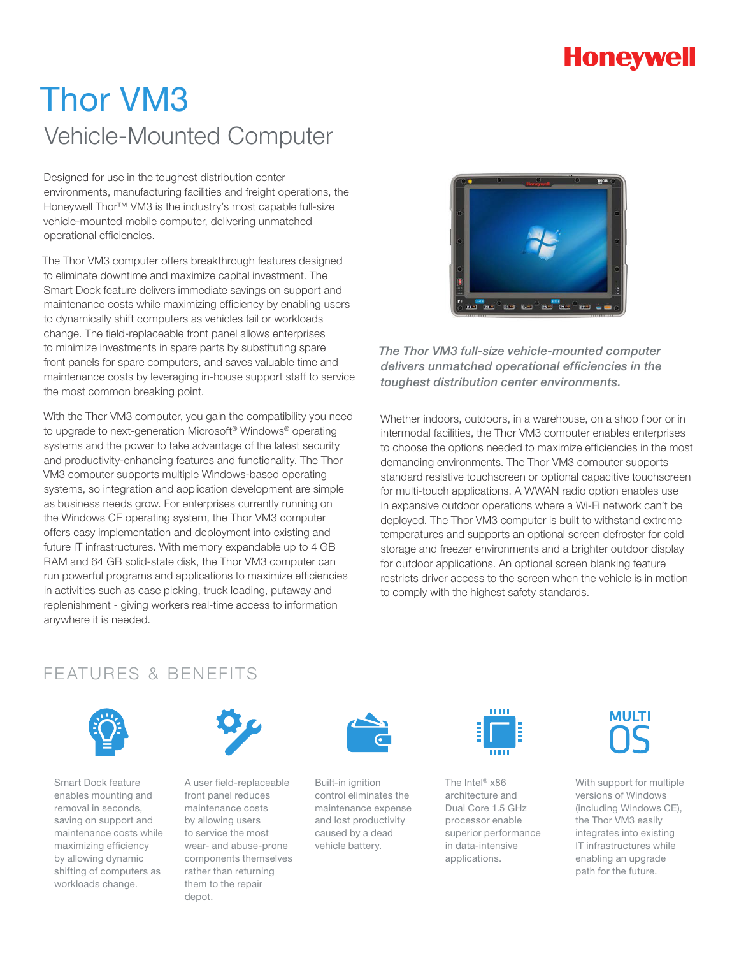## **Honeywell**

# Thor VM3 Vehicle-Mounted Computer

Designed for use in the toughest distribution center environments, manufacturing facilities and freight operations, the Honeywell Thor™ VM3 is the industry's most capable full-size vehicle-mounted mobile computer, delivering unmatched operational efficiencies.

The Thor VM3 computer offers breakthrough features designed to eliminate downtime and maximize capital investment. The Smart Dock feature delivers immediate savings on support and maintenance costs while maximizing efficiency by enabling users to dynamically shift computers as vehicles fail or workloads change. The field-replaceable front panel allows enterprises to minimize investments in spare parts by substituting spare front panels for spare computers, and saves valuable time and maintenance costs by leveraging in-house support staff to service the most common breaking point.

With the Thor VM3 computer, you gain the compatibility you need to upgrade to next-generation Microsoft® Windows® operating systems and the power to take advantage of the latest security and productivity-enhancing features and functionality. The Thor VM3 computer supports multiple Windows-based operating systems, so integration and application development are simple as business needs grow. For enterprises currently running on the Windows CE operating system, the Thor VM3 computer offers easy implementation and deployment into existing and future IT infrastructures. With memory expandable up to 4 GB RAM and 64 GB solid-state disk, the Thor VM3 computer can run powerful programs and applications to maximize efficiencies in activities such as case picking, truck loading, putaway and replenishment - giving workers real-time access to information anywhere it is needed.



*The Thor VM3 full-size vehicle-mounted computer delivers unmatched operational efficiencies in the toughest distribution center environments.*

Whether indoors, outdoors, in a warehouse, on a shop floor or in intermodal facilities, the Thor VM3 computer enables enterprises to choose the options needed to maximize efficiencies in the most demanding environments. The Thor VM3 computer supports standard resistive touchscreen or optional capacitive touchscreen for multi-touch applications. A WWAN radio option enables use in expansive outdoor operations where a Wi-Fi network can't be deployed. The Thor VM3 computer is built to withstand extreme temperatures and supports an optional screen defroster for cold storage and freezer environments and a brighter outdoor display for outdoor applications. An optional screen blanking feature restricts driver access to the screen when the vehicle is in motion to comply with the highest safety standards.

### FEATURES & BENEFITS



Smart Dock feature enables mounting and removal in seconds, saving on support and maintenance costs while maximizing efficiency by allowing dynamic shifting of computers as workloads change.



A user field-replaceable front panel reduces maintenance costs by allowing users to service the most wear- and abuse-prone components themselves rather than returning them to the repair depot.



Built-in ignition control eliminates the maintenance expense and lost productivity caused by a dead vehicle battery.



The Intel® x86 architecture and Dual Core 1.5 GHz processor enable superior performance in data-intensive applications.



With support for multiple versions of Windows (including Windows CE), the Thor VM3 easily integrates into existing IT infrastructures while enabling an upgrade path for the future.